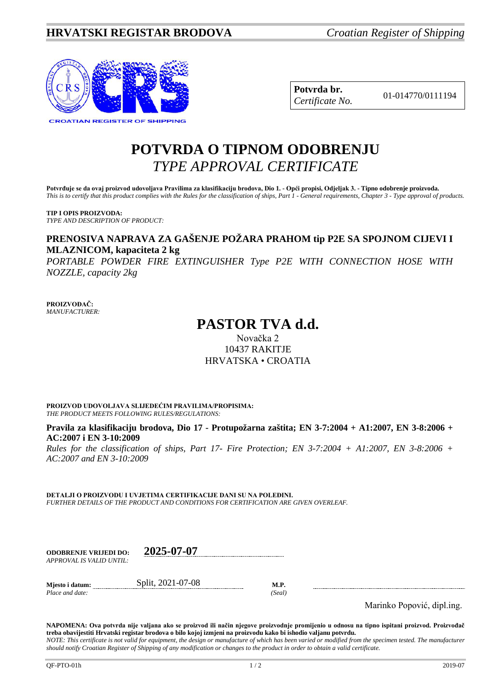

| Potvrda br.     |
|-----------------|
| Certificate No. |

**Potvrda br.** 01-014770/0111194 *Certificate No.*

# **POTVRDA O TIPNOM ODOBRENJU** *TYPE APPROVAL CERTIFICATE*

**Potvrđuje se da ovaj proizvod udovoljava Pravilima za klasifikaciju brodova, Dio 1. - Opći propisi, Odjeljak 3. - Tipno odobrenje proizvoda.** *This is to certify that this product complies with the Rules for the classification of ships, Part 1 - General requirements, Chapter 3 - Type approval of products.*

**TIP I OPIS PROIZVODA:** *TYPE AND DESCRIPTION OF PRODUCT:*

### **PRENOSIVA NAPRAVA ZA GAŠENJE POŽARA PRAHOM tip P2E SA SPOJNOM CIJEVI I MLAZNICOM, kapaciteta 2 kg**

*PORTABLE POWDER FIRE EXTINGUISHER Type P2E WITH CONNECTION HOSE WITH NOZZLE, capacity 2kg*

**PROIZVOĐAČ:** *MANUFACTURER:*

## **PASTOR TVA d.d.**

Novačka 2 10437 RAKITJE HRVATSKA • CROATIA

**PROIZVOD UDOVOLJAVA SLIJEDEĆIM PRAVILIMA/PROPISIMA:** *THE PRODUCT MEETS FOLLOWING RULES/REGULATIONS:*

**Pravila za klasifikaciju brodova, Dio 17 - Protupožarna zaštita; EN 3-7:2004 + A1:2007, EN 3-8:2006 + AC:2007 i EN 3-10:2009**

*Rules for the classification of ships, Part 17- Fire Protection; EN 3-7:2004 + A1:2007, EN 3-8:2006 + AC:2007 and EN 3-10:2009*

**DETALJI O PROIZVODU I UVJETIMA CERTIFIKACIJE DANI SU NA POLEĐINI.** *FURTHER DETAILS OF THE PRODUCT AND CONDITIONS FOR CERTIFICATION ARE GIVEN OVERLEAF.*

| <b>ODOBRENJE VRLJEDI DO:</b> | 2025-07-07 |
|------------------------------|------------|
| APPROVAL IS VALID UNTIL:     |            |

**Mjesto i datum:** Split, 2021-07-08 **M.P.** *Place and date: (Seal)*

Marinko Popović, dipl.ing.

**NAPOMENA: Ova potvrda nije valjana ako se proizvod ili način njegove proizvodnje promijenio u odnosu na tipno ispitani proizvod. Proizvođač treba obavijestiti Hrvatski registar brodova o bilo kojoj izmjeni na proizvodu kako bi ishodio valjanu potvrdu.** *NOTE: This certificate is not valid for equipment, the design or manufacture of which has been varied or modified from the specimen tested. The manufacturer should notify Croatian Register of Shipping of any modification or changes to the product in order to obtain a valid certificate.*